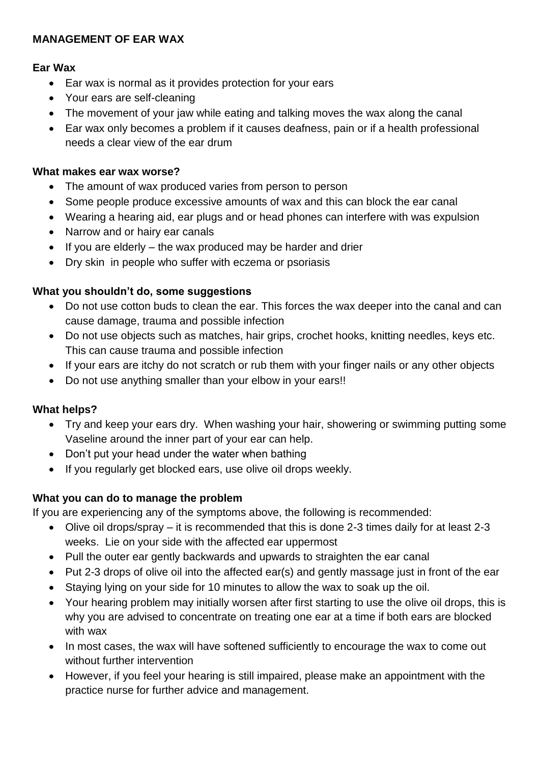## **MANAGEMENT OF EAR WAX**

## **Ear Wax**

- Ear wax is normal as it provides protection for your ears
- Your ears are self-cleaning
- The movement of your jaw while eating and talking moves the wax along the canal
- Ear wax only becomes a problem if it causes deafness, pain or if a health professional needs a clear view of the ear drum

# **What makes ear wax worse?**

- The amount of wax produced varies from person to person
- Some people produce excessive amounts of wax and this can block the ear canal
- Wearing a hearing aid, ear plugs and or head phones can interfere with was expulsion
- Narrow and or hairy ear canals
- $\bullet$  If you are elderly the wax produced may be harder and drier
- Dry skin in people who suffer with eczema or psoriasis

## **What you shouldn't do, some suggestions**

- Do not use cotton buds to clean the ear. This forces the wax deeper into the canal and can cause damage, trauma and possible infection
- Do not use objects such as matches, hair grips, crochet hooks, knitting needles, keys etc. This can cause trauma and possible infection
- If your ears are itchy do not scratch or rub them with your finger nails or any other objects
- Do not use anything smaller than your elbow in your ears!!

### **What helps?**

- Try and keep your ears dry. When washing your hair, showering or swimming putting some Vaseline around the inner part of your ear can help.
- Don't put your head under the water when bathing
- If you regularly get blocked ears, use olive oil drops weekly.

### **What you can do to manage the problem**

If you are experiencing any of the symptoms above, the following is recommended:

- Olive oil drops/spray it is recommended that this is done 2-3 times daily for at least 2-3 weeks. Lie on your side with the affected ear uppermost
- Pull the outer ear gently backwards and upwards to straighten the ear canal
- Put 2-3 drops of olive oil into the affected ear(s) and gently massage just in front of the ear
- Staying lying on your side for 10 minutes to allow the wax to soak up the oil.
- Your hearing problem may initially worsen after first starting to use the olive oil drops, this is why you are advised to concentrate on treating one ear at a time if both ears are blocked with wax
- In most cases, the wax will have softened sufficiently to encourage the wax to come out without further intervention
- However, if you feel your hearing is still impaired, please make an appointment with the practice nurse for further advice and management.